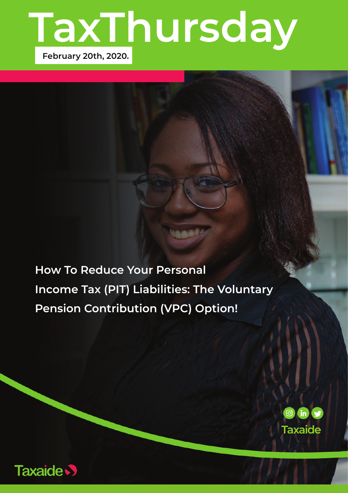## **TaxThursday**

**February 20th, 2020.**

**How To Reduce Your Personal Income Tax (PIT) Liabilities: The Voluntary Pension Contribution (VPC) Option!**

> $\circledcirc$  in **Taxaide**

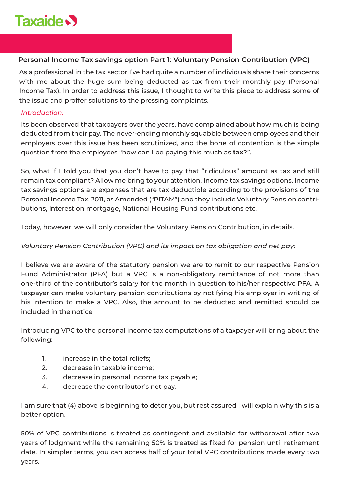

## **Personal Income Tax savings option Part 1: Voluntary Pension Contribution (VPC)**

As a professional in the tax sector I've had quite a number of individuals share their concerns with me about the huge sum being deducted as tax from their monthly pay (Personal Income Tax). In order to address this issue, I thought to write this piece to address some of the issue and proffer solutions to the pressing complaints.

## *Introduction:*

Its been observed that taxpayers over the years, have complained about how much is being deducted from their pay. The never-ending monthly squabble between employees and their employers over this issue has been scrutinized, and the bone of contention is the simple question from the employees "how can I be paying this much as **tax**?".

So, what if I told you that you don't have to pay that "ridiculous" amount as tax and still remain tax compliant? Allow me bring to your attention, Income tax savings options. Income tax savings options are expenses that are tax deductible according to the provisions of the Personal Income Tax, 2011, as Amended ("PITAM") and they include Voluntary Pension contributions, Interest on mortgage, National Housing Fund contributions etc.

Today, however, we will only consider the Voluntary Pension Contribution, in details.

## *Voluntary Pension Contribution (VPC) and its impact on tax obligation and net pay:*

I believe we are aware of the statutory pension we are to remit to our respective Pension Fund Administrator (PFA) but a VPC is a non-obligatory remittance of not more than one-third of the contributor's salary for the month in question to his/her respective PFA. A taxpayer can make voluntary pension contributions by notifying his employer in writing of his intention to make a VPC. Also, the amount to be deducted and remitted should be included in the notice

Introducing VPC to the personal income tax computations of a taxpayer will bring about the following:

- 1. increase in the total reliefs;
- 2. decrease in taxable income;
- 3. decrease in personal income tax payable;
- 4. decrease the contributor's net pay.

I am sure that (4) above is beginning to deter you, but rest assured I will explain why this is a better option.

50% of VPC contributions is treated as contingent and available for withdrawal after two years of lodgment while the remaining 50% is treated as fixed for pension until retirement date. In simpler terms, you can access half of your total VPC contributions made every two years.